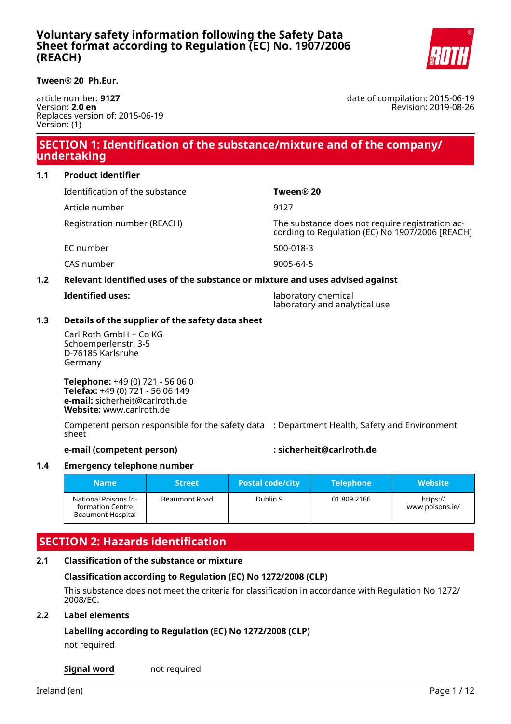# **Voluntary safety information following the Safety Data Sheet format according to Regulation (EC) No. 1907/2006 (REACH)**



**Tween® 20 Ph.Eur.**

article number: **9127** Version: **2.0 en** Replaces version of: 2015-06-19 Version: (1)

date of compilation: 2015-06-19 Revision: 2019-08-26

# **SECTION 1: Identification of the substance/mixture and of the company/ undertaking**

## **1.1 Product identifier**

|     | Identification of the substance                                               | Tween® 20                                                                                     |
|-----|-------------------------------------------------------------------------------|-----------------------------------------------------------------------------------------------|
|     | Article number                                                                | 9127                                                                                          |
|     | Registration number (REACH)                                                   | The substance does not require registration according to Regulation (EC) No 1907/2006 [REACH] |
|     | EC number                                                                     | 500-018-3                                                                                     |
|     | CAS number                                                                    | 9005-64-5                                                                                     |
| 1.2 | Relevant identified uses of the substance or mixture and uses advised against |                                                                                               |

**Identified uses:** laboratory chemical laboratory and analytical use

## **1.3 Details of the supplier of the safety data sheet**

Carl Roth GmbH + Co KG Schoemperlenstr. 3-5 D-76185 Karlsruhe Germany

**Telephone:** +49 (0) 721 - 56 06 0 **Telefax:** +49 (0) 721 - 56 06 149 **e-mail:** sicherheit@carlroth.de **Website:** www.carlroth.de

Competent person responsible for the safety data : Department Health, Safety and Environment sheet

### **e-mail (competent person) : sicherheit@carlroth.de**

### **1.4 Emergency telephone number**

| <b>Name</b>                                                   | <b>Street</b> | <b>Postal code/city</b> | <b>Telephone</b> | <b>Website</b>              |
|---------------------------------------------------------------|---------------|-------------------------|------------------|-----------------------------|
| National Poisons In-<br>formation Centre<br>Beaumont Hospital | Beaumont Road | Dublin 9                | 01 809 2166      | https://<br>www.poisons.ie/ |

# **SECTION 2: Hazards identification**

# **2.1 Classification of the substance or mixture**

# **Classification according to Regulation (EC) No 1272/2008 (CLP)**

This substance does not meet the criteria for classification in accordance with Regulation No 1272/ 2008/EC.

### **2.2 Label elements**

# **Labelling according to Regulation (EC) No 1272/2008 (CLP)**

not required

### **Signal word** not required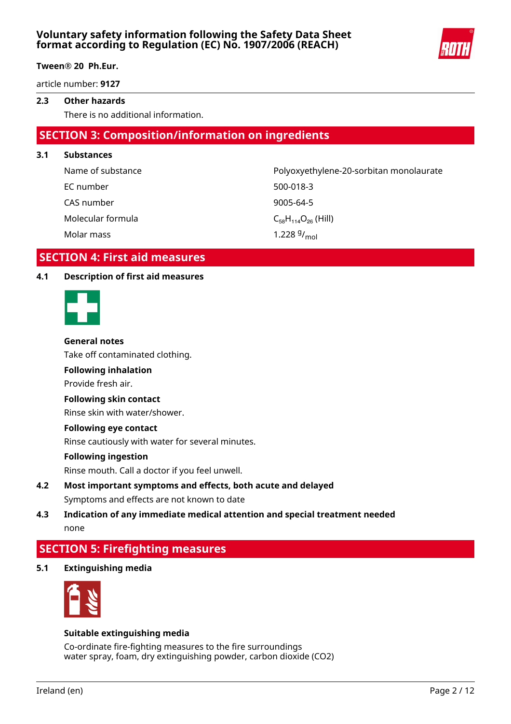

article number: **9127**

### **2.3 Other hazards**

There is no additional information.

# **SECTION 3: Composition/information on ingredients**

**3.1 Substances**

Name of substance **Polyoxyethylene-20-sorbitan monolaurate** EC number 500-018-3 CAS number 9005-64-5

Molar mass

Molecular formula  $C_{58}H_{114}O_{26}$  (Hill) 1.228 $9/_{mol}$ 

# **SECTION 4: First aid measures**

### **4.1 Description of first aid measures**



### **General notes**

Take off contaminated clothing.

### **Following inhalation**

Provide fresh air.

### **Following skin contact**

Rinse skin with water/shower.

### **Following eye contact**

Rinse cautiously with water for several minutes.

### **Following ingestion**

Rinse mouth. Call a doctor if you feel unwell.

- **4.2 Most important symptoms and effects, both acute and delayed** Symptoms and effects are not known to date
- **4.3 Indication of any immediate medical attention and special treatment needed** none

# **SECTION 5: Firefighting measures**

### **5.1 Extinguishing media**



### **Suitable extinguishing media**

Co-ordinate fire-fighting measures to the fire surroundings water spray, foam, dry extinguishing powder, carbon dioxide (CO2)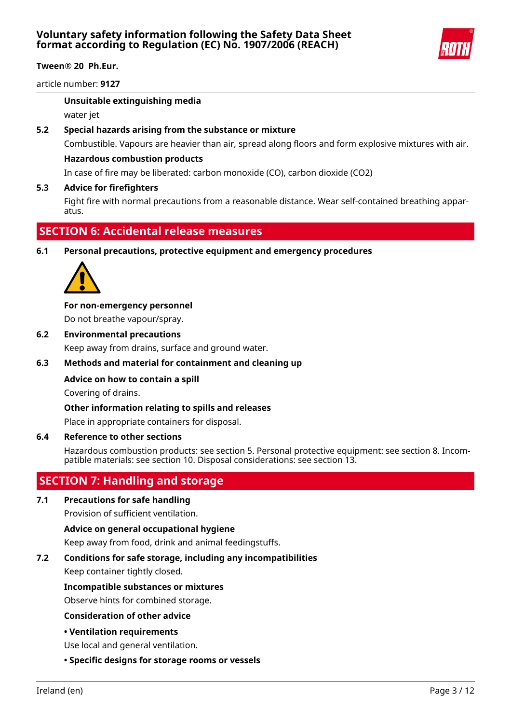

article number: **9127**

### **Unsuitable extinguishing media**

water jet

### **5.2 Special hazards arising from the substance or mixture**

Combustible. Vapours are heavier than air, spread along floors and form explosive mixtures with air.

### **Hazardous combustion products**

In case of fire may be liberated: carbon monoxide (CO), carbon dioxide (CO2)

### **5.3 Advice for firefighters**

Fight fire with normal precautions from a reasonable distance. Wear self-contained breathing apparatus.

# **SECTION 6: Accidental release measures**

**6.1 Personal precautions, protective equipment and emergency procedures**



### **For non-emergency personnel**

Do not breathe vapour/spray.

### **6.2 Environmental precautions**

Keep away from drains, surface and ground water.

### **6.3 Methods and material for containment and cleaning up**

### **Advice on how to contain a spill**

Covering of drains.

### **Other information relating to spills and releases**

Place in appropriate containers for disposal.

### **6.4 Reference to other sections**

Hazardous combustion products: see section 5. Personal protective equipment: see section 8. Incompatible materials: see section 10. Disposal considerations: see section 13.

# **SECTION 7: Handling and storage**

### **7.1 Precautions for safe handling**

Provision of sufficient ventilation.

### **Advice on general occupational hygiene**

Keep away from food, drink and animal feedingstuffs.

### **7.2 Conditions for safe storage, including any incompatibilities**

Keep container tightly closed.

### **Incompatible substances or mixtures**

Observe hints for combined storage.

**Consideration of other advice**

### **• Ventilation requirements**

Use local and general ventilation.

**• Specific designs for storage rooms or vessels**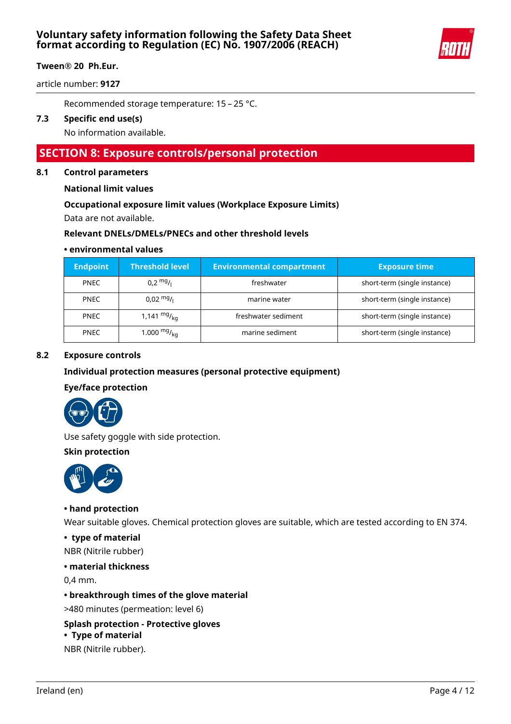

article number: **9127**

Recommended storage temperature: 15 – 25 °C.

## **7.3 Specific end use(s)**

No information available.

# **SECTION 8: Exposure controls/personal protection**

### **8.1 Control parameters**

**National limit values**

### **Occupational exposure limit values (Workplace Exposure Limits)**

Data are not available.

### **Relevant DNELs/DMELs/PNECs and other threshold levels**

### **• environmental values**

| <b>Endpoint</b> | <b>Threshold level</b> | <b>Environmental compartment</b> | <b>Exposure time</b>         |
|-----------------|------------------------|----------------------------------|------------------------------|
| <b>PNEC</b>     | $0.2 \frac{mg}{L}$     | freshwater                       | short-term (single instance) |
| <b>PNEC</b>     | $0.02 \frac{mg}{L}$    | marine water                     | short-term (single instance) |
| <b>PNEC</b>     | 1,141 $mg/_{kq}$       | freshwater sediment              | short-term (single instance) |
| <b>PNEC</b>     | 1.000 $mg/_{\rm kq}$   | marine sediment                  | short-term (single instance) |

### **8.2 Exposure controls**

### **Individual protection measures (personal protective equipment)**

### **Eye/face protection**



Use safety goggle with side protection.

#### **Skin protection**



### **• hand protection**

Wear suitable gloves. Chemical protection gloves are suitable, which are tested according to EN 374.

### **• type of material**

NBR (Nitrile rubber)

### **• material thickness**

0,4 mm.

### **• breakthrough times of the glove material**

>480 minutes (permeation: level 6)

# **Splash protection - Protective gloves**

# **• Type of material**

NBR (Nitrile rubber).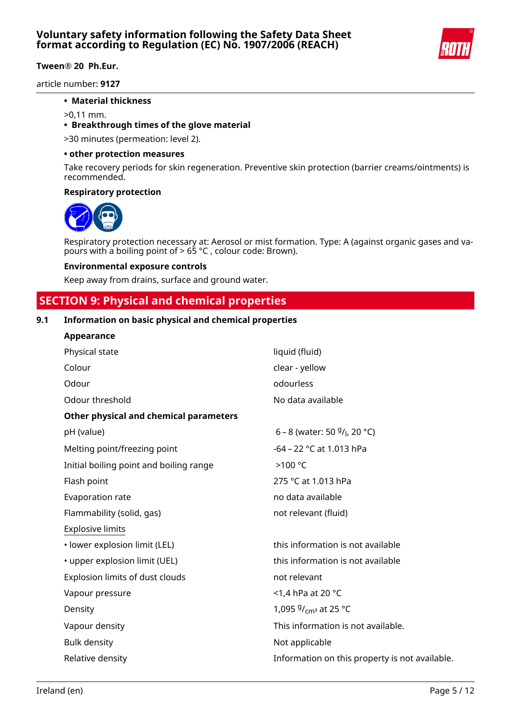

article number: **9127**

### **• Material thickness**

>0,11 mm.

### **• Breakthrough times of the glove material**

>30 minutes (permeation: level 2).

#### **• other protection measures**

Take recovery periods for skin regeneration. Preventive skin protection (barrier creams/ointments) is recommended.

#### **Respiratory protection**



Respiratory protection necessary at: Aerosol or mist formation. Type: A (against organic gases and vapours with a boiling point of > 65 °C , colour code: Brown).

#### **Environmental exposure controls**

Keep away from drains, surface and ground water.

# **SECTION 9: Physical and chemical properties**

# **9.1 Information on basic physical and chemical properties**

| Appearance                              |                                                         |
|-----------------------------------------|---------------------------------------------------------|
| Physical state                          | liquid (fluid)                                          |
| Colour                                  | clear - yellow                                          |
| Odour                                   | odourless                                               |
| Odour threshold                         | No data available                                       |
| Other physical and chemical parameters  |                                                         |
| pH (value)                              | 6 – 8 (water: 50 $9/1$ , 20 °C)                         |
| Melting point/freezing point            | -64 - 22 °C at 1.013 hPa                                |
| Initial boiling point and boiling range | >100 °C                                                 |
| Flash point                             | 275 °C at 1.013 hPa                                     |
| Evaporation rate                        | no data available                                       |
| Flammability (solid, gas)               | not relevant (fluid)                                    |
| <b>Explosive limits</b>                 |                                                         |
| · lower explosion limit (LEL)           | this information is not available                       |
| • upper explosion limit (UEL)           | this information is not available                       |
| Explosion limits of dust clouds         | not relevant                                            |
| Vapour pressure                         | <1,4 hPa at 20 $^{\circ}$ C                             |
| Density                                 | 1,095 <sup>g</sup> / <sub>cm<sup>3</sup></sub> at 25 °C |
| Vapour density                          | This information is not available.                      |
| <b>Bulk density</b>                     | Not applicable                                          |
| Relative density                        | Information on this property is not available.          |
|                                         |                                                         |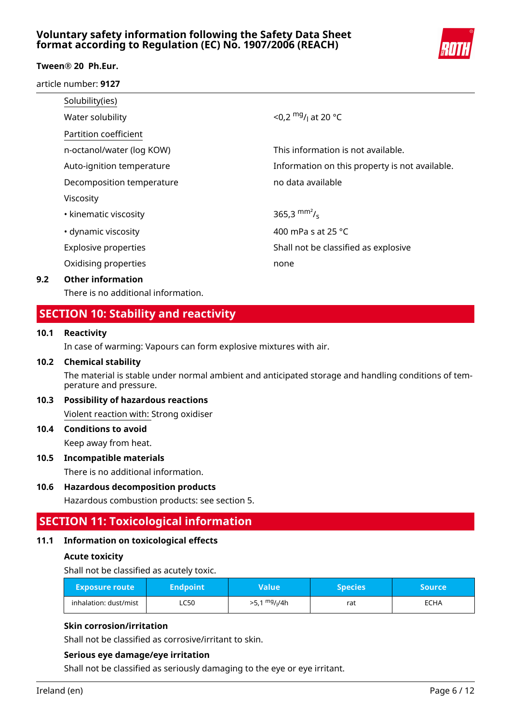# **Voluntary safety information following the Safety Data Sheet format according to Regulation (EC) No. 1907/2006 (REACH)**



### **Tween® 20 Ph.Eur.**

article number: **9127**

| Solubility(ies)             |                                                |
|-----------------------------|------------------------------------------------|
| Water solubility            | <0,2 $mg/$ <sub>1</sub> at 20 °C               |
| Partition coefficient       |                                                |
| n-octanol/water (log KOW)   | This information is not available.             |
| Auto-ignition temperature   | Information on this property is not available. |
| Decomposition temperature   | no data available                              |
| Viscosity                   |                                                |
| • kinematic viscosity       | 365,3 $\text{mm}^2$ / <sub>s</sub>             |
| • dynamic viscosity         | 400 mPa s at 25 °C                             |
| <b>Explosive properties</b> | Shall not be classified as explosive           |
| Oxidising properties        | none                                           |
|                             |                                                |

### **9.2 Other information**

There is no additional information.

# **SECTION 10: Stability and reactivity**

### **10.1 Reactivity**

In case of warming: Vapours can form explosive mixtures with air.

#### **10.2 Chemical stability**

The material is stable under normal ambient and anticipated storage and handling conditions of temperature and pressure.

### **10.3 Possibility of hazardous reactions**

Violent reaction with: Strong oxidiser

# **10.4 Conditions to avoid**

Keep away from heat.

### **10.5 Incompatible materials**

There is no additional information.

### **10.6 Hazardous decomposition products**

Hazardous combustion products: see section 5.

# **SECTION 11: Toxicological information**

### **11.1 Information on toxicological effects**

### **Acute toxicity**

Shall not be classified as acutely toxic.

| <b>Exposure route</b> | <b>Endpoint</b> | Value'                      | <b>Species</b> | Source |
|-----------------------|-----------------|-----------------------------|----------------|--------|
| inhalation: dust/mist | LC50            | mg <sub>I</sub> /4h<br>>5,1 | rat            | ECHA   |

### **Skin corrosion/irritation**

Shall not be classified as corrosive/irritant to skin.

### **Serious eye damage/eye irritation**

Shall not be classified as seriously damaging to the eye or eye irritant.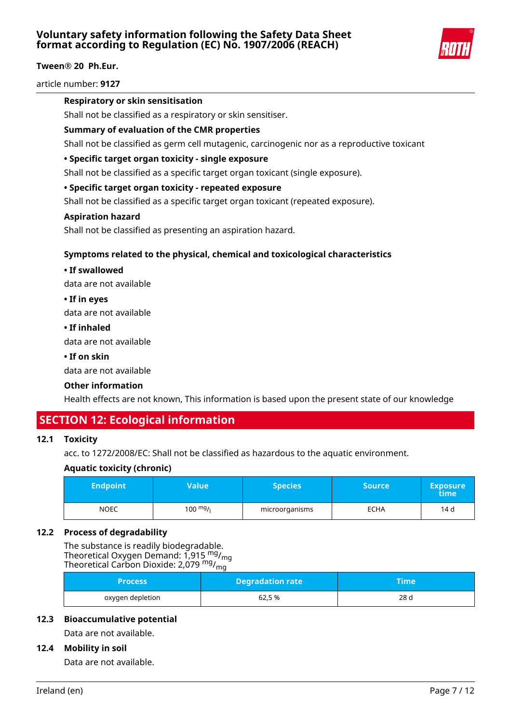

article number: **9127**

### **Respiratory or skin sensitisation**

Shall not be classified as a respiratory or skin sensitiser.

### **Summary of evaluation of the CMR properties**

Shall not be classified as germ cell mutagenic, carcinogenic nor as a reproductive toxicant

### **• Specific target organ toxicity - single exposure**

Shall not be classified as a specific target organ toxicant (single exposure).

### **• Specific target organ toxicity - repeated exposure**

Shall not be classified as a specific target organ toxicant (repeated exposure).

### **Aspiration hazard**

Shall not be classified as presenting an aspiration hazard.

### **Symptoms related to the physical, chemical and toxicological characteristics**

#### **• If swallowed**

data are not available

### **• If in eyes**

data are not available

#### **• If inhaled**

data are not available

### **• If on skin**

data are not available

### **Other information**

Health effects are not known, This information is based upon the present state of our knowledge

# **SECTION 12: Ecological information**

### **12.1 Toxicity**

acc. to 1272/2008/EC: Shall not be classified as hazardous to the aquatic environment.

### **Aquatic toxicity (chronic)**

| <b>Endpoint</b> | Value'    | <b>Species</b> | Source | <b>Exposure</b><br>time |
|-----------------|-----------|----------------|--------|-------------------------|
| <b>NOEC</b>     | 100 $mg/$ | microorganisms | ECHA   | 14 d                    |

### **12.2 Process of degradability**

The substance is readily biodegradable. Theoretical Oxygen Demand:  $1,915 \frac{mg}{mg}$ Theoretical Carbon Dioxide: 2,079<sup> mg</sup>/<sub>mg</sub>

| <b>Process</b>   | <b>Degradation rate</b> | Time' |
|------------------|-------------------------|-------|
| oxygen depletion | 62,5 %                  | 28 d  |

### **12.3 Bioaccumulative potential**

Data are not available.

### **12.4 Mobility in soil**

Data are not available.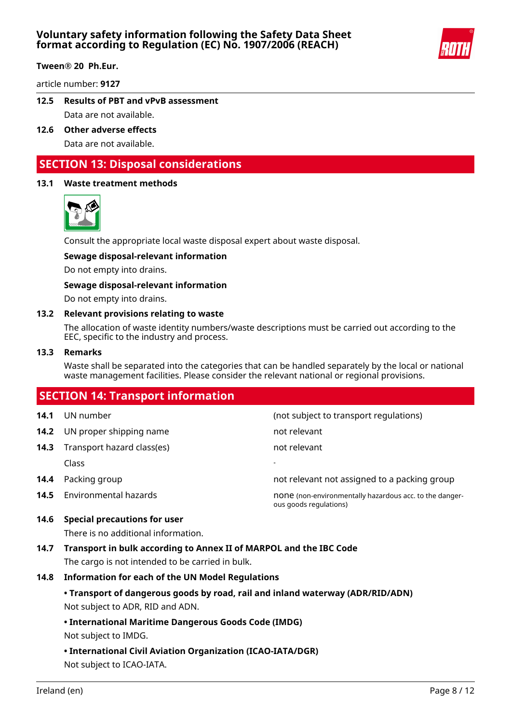

article number: **9127**

- **12.5 Results of PBT and vPvB assessment** Data are not available.
- **12.6 Other adverse effects** Data are not available.

# **SECTION 13: Disposal considerations**

### **13.1 Waste treatment methods**



Consult the appropriate local waste disposal expert about waste disposal.

#### **Sewage disposal-relevant information**

Do not empty into drains.

#### **Sewage disposal-relevant information**

Do not empty into drains.

#### **13.2 Relevant provisions relating to waste**

The allocation of waste identity numbers/waste descriptions must be carried out according to the EEC, specific to the industry and process.

#### **13.3 Remarks**

Waste shall be separated into the categories that can be handled separately by the local or national waste management facilities. Please consider the relevant national or regional provisions.

# **SECTION 14: Transport information 14.1** UN number (not subject to transport regulations) **14.2** UN proper shipping name not relevant **14.3** Transport hazard class(es) not relevant Class - **14.4** Packing group **14.4** Packing group **not relevant not assigned to a packing group 14.5** Environmental hazards **none is a metally hasardous acc.** to the dangerous goods regulations) **14.6 Special precautions for user**

There is no additional information.

**14.7 Transport in bulk according to Annex II of MARPOL and the IBC Code**

The cargo is not intended to be carried in bulk.

- **14.8 Information for each of the UN Model Regulations**
	- **Transport of dangerous goods by road, rail and inland waterway (ADR/RID/ADN)** Not subject to ADR, RID and ADN.

### **• International Maritime Dangerous Goods Code (IMDG)**

Not subject to IMDG.

**• International Civil Aviation Organization (ICAO-IATA/DGR)**

Not subject to ICAO-IATA.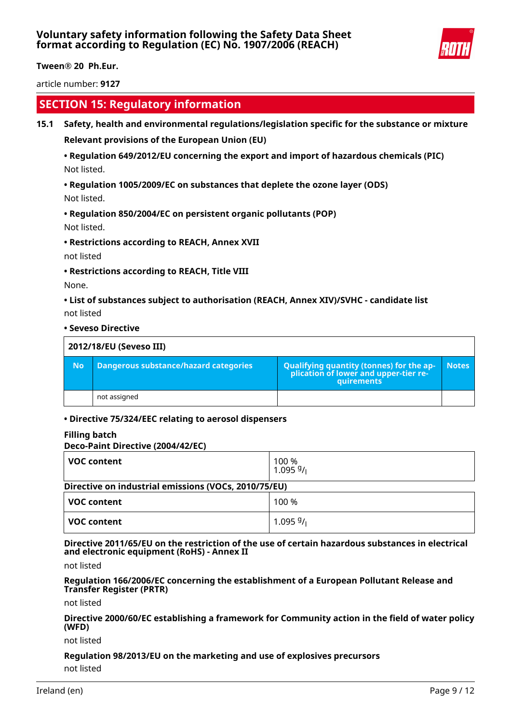

article number: **9127**

# **SECTION 15: Regulatory information**

### **15.1 Safety, health and environmental regulations/legislation specific for the substance or mixture**

**Relevant provisions of the European Union (EU)**

# **• Regulation 649/2012/EU concerning the export and import of hazardous chemicals (PIC)** Not listed.

**• Regulation 1005/2009/EC on substances that deplete the ozone layer (ODS)**

Not listed.

## **• Regulation 850/2004/EC on persistent organic pollutants (POP)** Not listed.

**• Restrictions according to REACH, Annex XVII**

not listed

**• Restrictions according to REACH, Title VIII**

None.

**• List of substances subject to authorisation (REACH, Annex XIV)/SVHC - candidate list** not listed

**• Seveso Directive**

| 2012/18/EU (Seveso III) |                                       |                                                                                            |              |  |
|-------------------------|---------------------------------------|--------------------------------------------------------------------------------------------|--------------|--|
| <b>No</b>               | Dangerous substance/hazard categories | Qualifying quantity (tonnes) for the application of lower and upper-tier re-<br>quirements | <b>Notes</b> |  |
|                         | not assigned                          |                                                                                            |              |  |

### **• Directive 75/324/EEC relating to aerosol dispensers**

### **Filling batch**

### **Deco-Paint Directive (2004/42/EC)**

| <b>VOC content</b> | 100 %<br>1.09591                                     |  |  |  |
|--------------------|------------------------------------------------------|--|--|--|
|                    | Directive on industrial emissions (VOCs, 2010/75/EU) |  |  |  |
| <b>VOC content</b> | 100 %                                                |  |  |  |
| <b>VOC content</b> | 1.09599/                                             |  |  |  |

**Directive 2011/65/EU on the restriction of the use of certain hazardous substances in electrical and electronic equipment (RoHS) - Annex II**

not listed

**Regulation 166/2006/EC concerning the establishment of a European Pollutant Release and Transfer Register (PRTR)**

not listed

**Directive 2000/60/EC establishing a framework for Community action in the field of water policy (WFD)**

not listed

# **Regulation 98/2013/EU on the marketing and use of explosives precursors**

not listed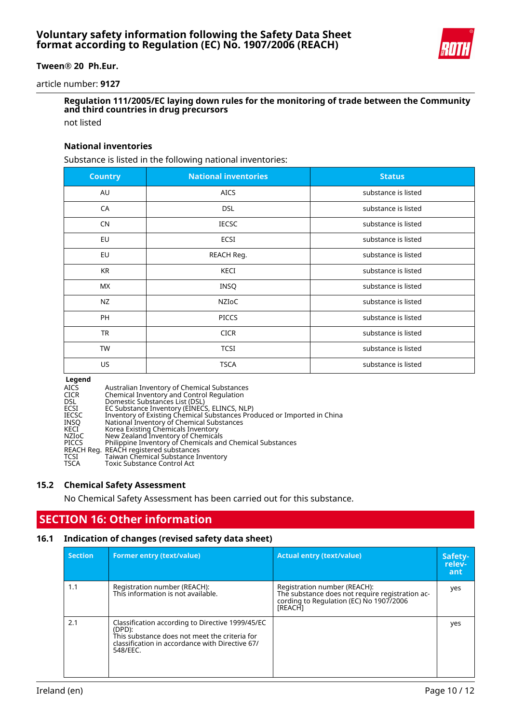

article number: **9127**

# **Regulation 111/2005/EC laying down rules for the monitoring of trade between the Community and third countries in drug precursors**

not listed

#### **National inventories**

Substance is listed in the following national inventories:

| <b>Country</b> | <b>National inventories</b> | <b>Status</b>       |
|----------------|-----------------------------|---------------------|
| AU             | <b>AICS</b>                 | substance is listed |
| CA             | <b>DSL</b>                  | substance is listed |
| <b>CN</b>      | <b>IECSC</b>                | substance is listed |
| EU             | <b>ECSI</b>                 | substance is listed |
| EU             | REACH Reg.                  | substance is listed |
| <b>KR</b>      | KECI                        | substance is listed |
| <b>MX</b>      | INSQ                        | substance is listed |
| <b>NZ</b>      | NZIOC                       | substance is listed |
| PH             | <b>PICCS</b>                | substance is listed |
| <b>TR</b>      | <b>CICR</b>                 | substance is listed |
| <b>TW</b>      | <b>TCSI</b>                 | substance is listed |
| US.            | <b>TSCA</b>                 | substance is listed |

**Legend**<br>AICS<br>CICR<br>DSL<br>ECSI<br>ECSC AICS Australian Inventory of Chemical Substances CICR Chemical Inventory and Control Regulation Domestic Substances List (DSL) ECSI EC Substance Inventory (EINECS, ELINCS, NLP) IECSC Inventory of Existing Chemical Substances Produced or Imported in China INSQ National Inventory of Chemical Substances KECI Korea Existing Chemicals Inventory NZIoC New Zealand Inventory of Chemicals PICCS Philippine Inventory of Chemicals and Chemical Substances REACH Reg. REACH registered substances TCSI Taiwan Chemical Substance Inventory TSCA Toxic Substance Control Act

### **15.2 Chemical Safety Assessment**

No Chemical Safety Assessment has been carried out for this substance.

# **SECTION 16: Other information**

### **16.1 Indication of changes (revised safety data sheet)**

| <b>Section</b> | <b>Former entry (text/value)</b>                                                                                                                                           | <b>Actual entry (text/value)</b>                                                                                                      | Safety-<br>relev-<br>ant |
|----------------|----------------------------------------------------------------------------------------------------------------------------------------------------------------------------|---------------------------------------------------------------------------------------------------------------------------------------|--------------------------|
| 1.1            | Registration number (REACH):<br>This information is not available.                                                                                                         | Registration number (REACH):<br>The substance does not require registration ac-<br>cording to Regulation (EC) No 1907/2006<br>[REACH] | yes                      |
| 2.1            | Classification according to Directive 1999/45/EC<br>(DPD):<br>This substance does not meet the criteria for<br>classification in accordance with Directive 67/<br>548/EEC. |                                                                                                                                       | yes                      |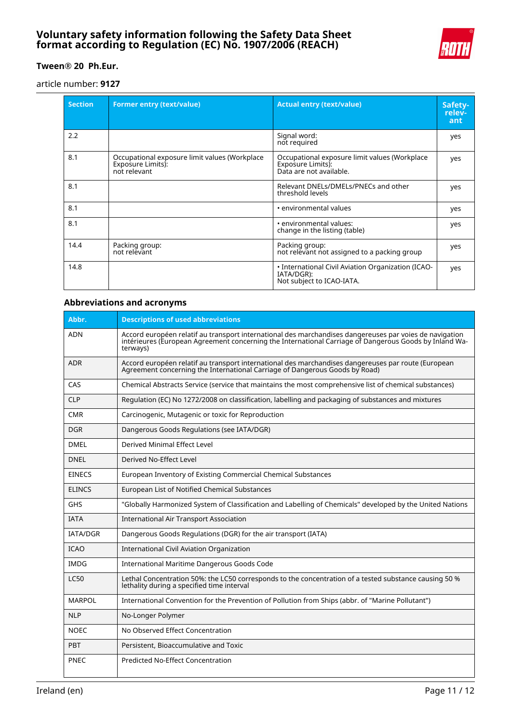## **Voluntary safety information following the Safety Data Sheet format according to Regulation (EC) No. 1907/2006 (REACH)**



# **Tween® 20 Ph.Eur.**

article number: **9127**

| <b>Section</b> | <b>Former entry (text/value)</b>                                                   | <b>Actual entry (text/value)</b>                                                              | Safety-<br>relev-<br>ant |
|----------------|------------------------------------------------------------------------------------|-----------------------------------------------------------------------------------------------|--------------------------|
| 2.2            |                                                                                    | Signal word:<br>not required                                                                  | yes                      |
| 8.1            | Occupational exposure limit values (Workplace<br>Exposure Limits):<br>not relevant | Occupational exposure limit values (Workplace<br>Exposure Limits):<br>Data are not available. | yes                      |
| 8.1            |                                                                                    | Relevant DNELs/DMELs/PNECs and other<br>threshold levels                                      | yes                      |
| 8.1            |                                                                                    | • environmental values                                                                        | yes                      |
| 8.1            |                                                                                    | • environmental values:<br>change in the listing (table)                                      | yes                      |
| 14.4           | Packing group:<br>not relevant                                                     | Packing group:<br>not relevant not assigned to a packing group                                | yes                      |
| 14.8           |                                                                                    | • International Civil Aviation Organization (ICAO-<br>IATA/DGR):<br>Not subject to ICAO-IATA. | yes                      |

### **Abbreviations and acronyms**

| Abbr.           | <b>Descriptions of used abbreviations</b>                                                                                                                                                                                     |  |
|-----------------|-------------------------------------------------------------------------------------------------------------------------------------------------------------------------------------------------------------------------------|--|
| <b>ADN</b>      | Accord européen relatif au transport international des marchandises dangereuses par voies de navigation<br>intérieures (European Agreement concerning the International Carriage of Dangerous Goods by Inland Wa-<br>terways) |  |
| <b>ADR</b>      | Accord européen relatif au transport international des marchandises dangereuses par route (European<br>Agreement concerning the International Carriage of Dangerous Goods by Road)                                            |  |
| CAS             | Chemical Abstracts Service (service that maintains the most comprehensive list of chemical substances)                                                                                                                        |  |
| <b>CLP</b>      | Regulation (EC) No 1272/2008 on classification, labelling and packaging of substances and mixtures                                                                                                                            |  |
| <b>CMR</b>      | Carcinogenic, Mutagenic or toxic for Reproduction                                                                                                                                                                             |  |
| <b>DGR</b>      | Dangerous Goods Regulations (see IATA/DGR)                                                                                                                                                                                    |  |
| <b>DMEL</b>     | Derived Minimal Effect Level                                                                                                                                                                                                  |  |
| <b>DNEL</b>     | Derived No-Effect Level                                                                                                                                                                                                       |  |
| <b>EINECS</b>   | European Inventory of Existing Commercial Chemical Substances                                                                                                                                                                 |  |
| <b>ELINCS</b>   | European List of Notified Chemical Substances                                                                                                                                                                                 |  |
| <b>GHS</b>      | "Globally Harmonized System of Classification and Labelling of Chemicals" developed by the United Nations                                                                                                                     |  |
| <b>IATA</b>     | <b>International Air Transport Association</b>                                                                                                                                                                                |  |
| <b>IATA/DGR</b> | Dangerous Goods Regulations (DGR) for the air transport (IATA)                                                                                                                                                                |  |
| <b>ICAO</b>     | <b>International Civil Aviation Organization</b>                                                                                                                                                                              |  |
| <b>IMDG</b>     | International Maritime Dangerous Goods Code                                                                                                                                                                                   |  |
| <b>LC50</b>     | Lethal Concentration 50%: the LC50 corresponds to the concentration of a tested substance causing 50 %<br>lethality during a specified time interval                                                                          |  |
| <b>MARPOL</b>   | International Convention for the Prevention of Pollution from Ships (abbr. of "Marine Pollutant")                                                                                                                             |  |
| <b>NLP</b>      | No-Longer Polymer                                                                                                                                                                                                             |  |
| <b>NOEC</b>     | No Observed Effect Concentration                                                                                                                                                                                              |  |
| <b>PBT</b>      | Persistent, Bioaccumulative and Toxic                                                                                                                                                                                         |  |
| <b>PNEC</b>     | <b>Predicted No-Effect Concentration</b>                                                                                                                                                                                      |  |